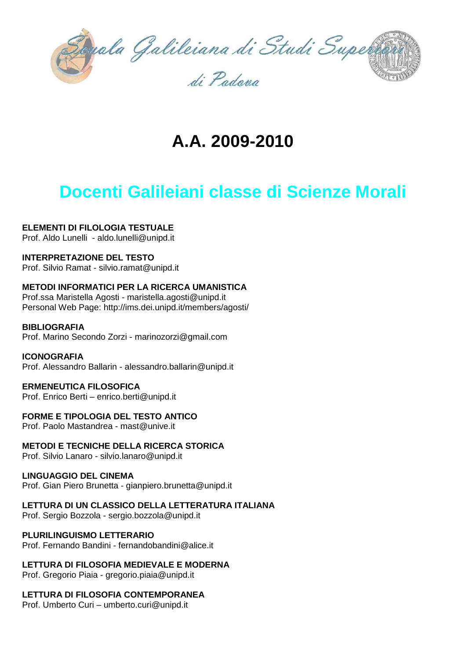

# **A.A. 2009-2010**

# **Docenti Galileiani classe di Scienze Morali**

## **ELEMENTI DI FILOLOGIA TESTUALE**

Prof. Aldo Lunelli - aldo.lunelli@unipd.it

## **INTERPRETAZIONE DEL TESTO**

Prof. Silvio Ramat - silvio.ramat@unipd.it

## **METODI INFORMATICI PER LA RICERCA UMANISTICA**

Prof.ssa Maristella Agosti - maristella.agosti@unipd.it Personal Web Page: http://ims.dei.unipd.it/members/agosti/

### **BIBLIOGRAFIA**

Prof. Marino Secondo Zorzi - marinozorzi@gmail.com

### **ICONOGRAFIA**

Prof. Alessandro Ballarin - alessandro.ballarin@unipd.it

### **ERMENEUTICA FILOSOFICA**

Prof. Enrico Berti – enrico.berti@unipd.it

### **FORME E TIPOLOGIA DEL TESTO ANTICO**

Prof. Paolo Mastandrea - mast@unive.it

## **METODI E TECNICHE DELLA RICERCA STORICA**

Prof. Silvio Lanaro - silvio.lanaro@unipd.it

### **LINGUAGGIO DEL CINEMA**

Prof. Gian Piero Brunetta - gianpiero.brunetta@unipd.it

## **LETTURA DI UN CLASSICO DELLA LETTERATURA ITALIANA**

Prof. Sergio Bozzola - sergio.bozzola@unipd.it

### **PLURILINGUISMO LETTERARIO**

Prof. Fernando Bandini - fernandobandini@alice.it

## **LETTURA DI FILOSOFIA MEDIEVALE E MODERNA**

Prof. Gregorio Piaia - gregorio.piaia@unipd.it

## **LETTURA DI FILOSOFIA CONTEMPORANEA**

Prof. Umberto Curi – umberto.curi@unipd.it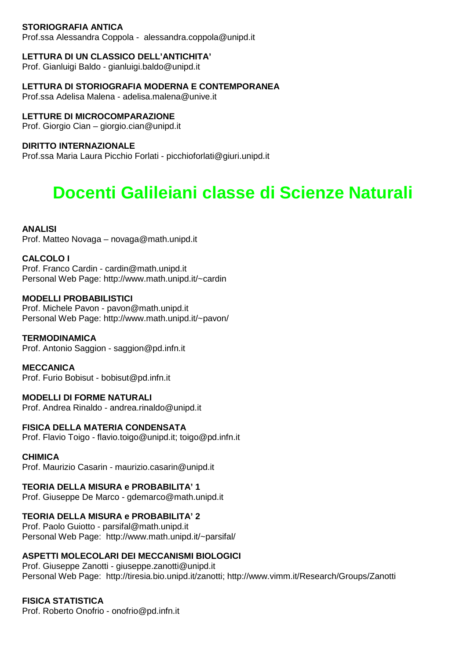## **STORIOGRAFIA ANTICA**

Prof.ssa Alessandra Coppola - alessandra.coppola@unipd.it

### **LETTURA DI UN CLASSICO DELL'ANTICHITA'**

Prof. Gianluigi Baldo - gianluigi.baldo@unipd.it

## **LETTURA DI STORIOGRAFIA MODERNA E CONTEMPORANEA**

Prof.ssa Adelisa Malena - adelisa.malena@unive.it

## **LETTURE DI MICROCOMPARAZIONE**

Prof. Giorgio Cian – giorgio.cian@unipd.it

### **DIRITTO INTERNAZIONALE**

Prof.ssa Maria Laura Picchio Forlati - picchioforlati@giuri.unipd.it

# **Docenti Galileiani classe di Scienze Naturali**

## **ANALISI**

Prof. Matteo Novaga – novaga@math.unipd.it

### **CALCOLO I**

Prof. Franco Cardin - cardin@math.unipd.it Personal Web Page: http://www.math.unipd.it/~cardin

### **MODELLI PROBABILISTICI**

Prof. Michele Pavon - pavon@math.unipd.it Personal Web Page: http://www.math.unipd.it/~pavon/

### **TERMODINAMICA**

Prof. Antonio Saggion - saggion@pd.infn.it

**MECCANICA**  Prof. Furio Bobisut - bobisut@pd.infn.it

## **MODELLI DI FORME NATURALI**

Prof. Andrea Rinaldo - andrea.rinaldo@unipd.it

## **FISICA DELLA MATERIA CONDENSATA**

Prof. Flavio Toigo - flavio.toigo@unipd.it; toigo@pd.infn.it

### **CHIMICA**

Prof. Maurizio Casarin - maurizio.casarin@unipd.it

## **TEORIA DELLA MISURA e PROBABILITA' 1**

Prof. Giuseppe De Marco - gdemarco@math.unipd.it

## **TEORIA DELLA MISURA e PROBABILITA' 2**

Prof. Paolo Guiotto - parsifal@math.unipd.it Personal Web Page: http://www.math.unipd.it/~parsifal/

## **ASPETTI MOLECOLARI DEI MECCANISMI BIOLOGICI**

Prof. Giuseppe Zanotti - giuseppe.zanotti@unipd.it Personal Web Page: http://tiresia.bio.unipd.it/zanotti; http://www.vimm.it/Research/Groups/Zanotti

## **FISICA STATISTICA**

Prof. Roberto Onofrio - onofrio@pd.infn.it